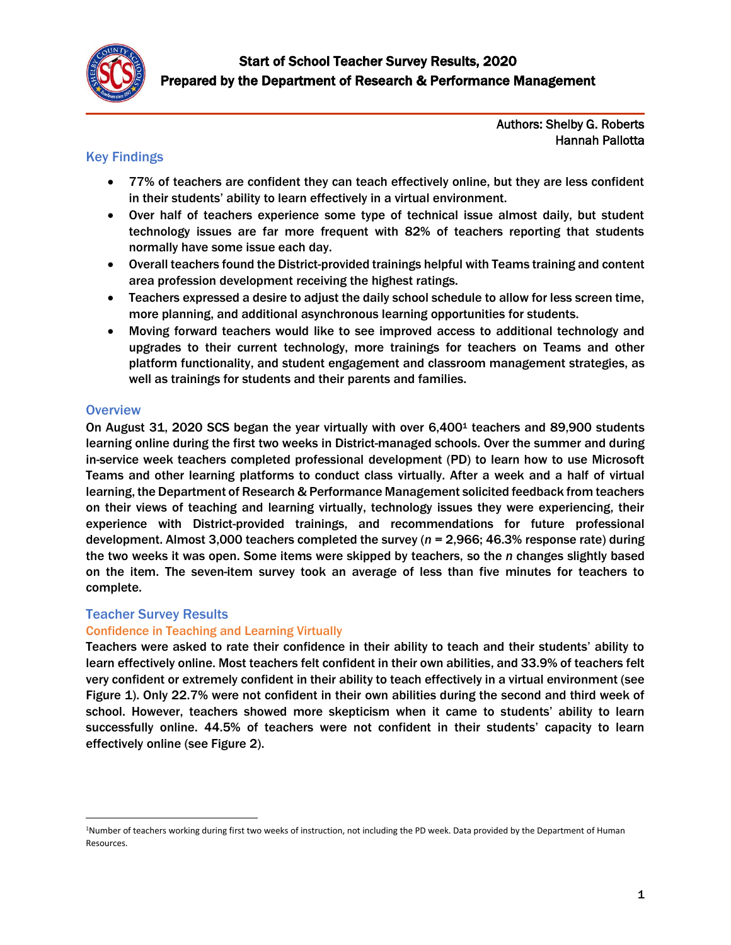

Authors: Shelby G. Roberts Hannah Pallotta

## Key Findings

- 77% of teachers are confident they can teach effectively online, but they are less confident in their students' ability to learn effectively in a virtual environment.
- Over half of teachers experience some type of technical issue almost daily, but student technology issues are far more frequent with 82% of teachers reporting that students normally have some issue each day.
- Overall teachers found the District-provided trainings helpful with Teams training and content area profession development receiving the highest ratings.
- Teachers expressed a desire to adjust the daily school schedule to allow for less screen time, more planning, and additional asynchronous learning opportunities for students.
- Moving forward teachers would like to see improved access to additional technology and upgrades to their current technology, more trainings for teachers on Teams and other platform functionality, and student engagement and classroom management strategies, as well as trainings for students and their parents and families.

## **Overview**

 $\overline{\phantom{a}}$ 

On August 31, 2020 SCS began the year virtually with over 6,400<sup>1</sup> teachers and 89,900 students learning online during the first two weeks in District-managed schools. Over the summer and during in-service week teachers completed professional development (PD) to learn how to use Microsoft Teams and other learning platforms to conduct class virtually. After a week and a half of virtual learning, the Department of Research & Performance Management solicited feedback from teachers on their views of teaching and learning virtually, technology issues they were experiencing, their experience with District-provided trainings, and recommendations for future professional development. Almost 3,000 teachers completed the survey (*n* = 2,966; 46.3% response rate) during the two weeks it was open. Some items were skipped by teachers, so the *n* changes slightly based on the item. The seven-item survey took an average of less than five minutes for teachers to complete.

## Teacher Survey Results

## Confidence in Teaching and Learning Virtually

Teachers were asked to rate their confidence in their ability to teach and their students' ability to learn effectively online. Most teachers felt confident in their own abilities, and 33.9% of teachers felt very confident or extremely confident in their ability to teach effectively in a virtual environment (see Figure 1). Only 22.7% were not confident in their own abilities during the second and third week of school. However, teachers showed more skepticism when it came to students' ability to learn successfully online. 44.5% of teachers were not confident in their students' capacity to learn effectively online (see Figure 2).

<sup>1</sup>Number of teachers working during first two weeks of instruction, not including the PD week. Data provided by the Department of Human Resources.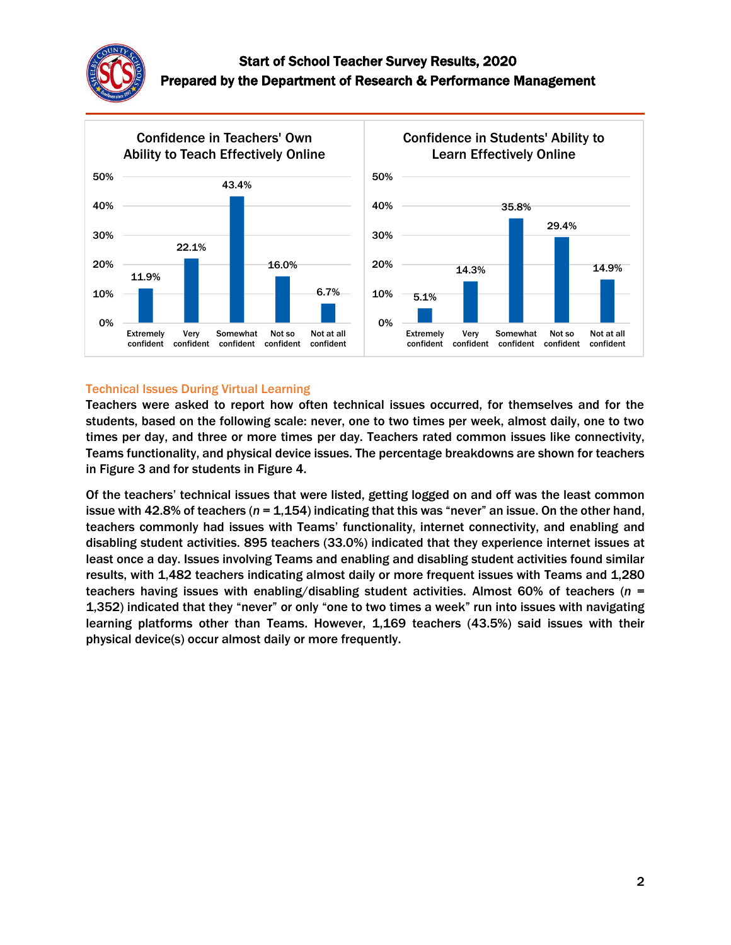



### Technical Issues During Virtual Learning

Teachers were asked to report how often technical issues occurred, for themselves and for the students, based on the following scale: never, one to two times per week, almost daily, one to two times per day, and three or more times per day. Teachers rated common issues like connectivity, Teams functionality, and physical device issues. The percentage breakdowns are shown for teachers in Figure 3 and for students in Figure 4.

Of the teachers' technical issues that were listed, getting logged on and off was the least common issue with 42.8% of teachers (*n* = 1,154) indicating that this was "never" an issue. On the other hand, teachers commonly had issues with Teams' functionality, internet connectivity, and enabling and disabling student activities. 895 teachers (33.0%) indicated that they experience internet issues at least once a day. Issues involving Teams and enabling and disabling student activities found similar results, with 1,482 teachers indicating almost daily or more frequent issues with Teams and 1,280 teachers having issues with enabling/disabling student activities. Almost 60% of teachers (*n* = 1,352) indicated that they "never" or only "one to two times a week" run into issues with navigating learning platforms other than Teams. However, 1,169 teachers (43.5%) said issues with their physical device(s) occur almost daily or more frequently.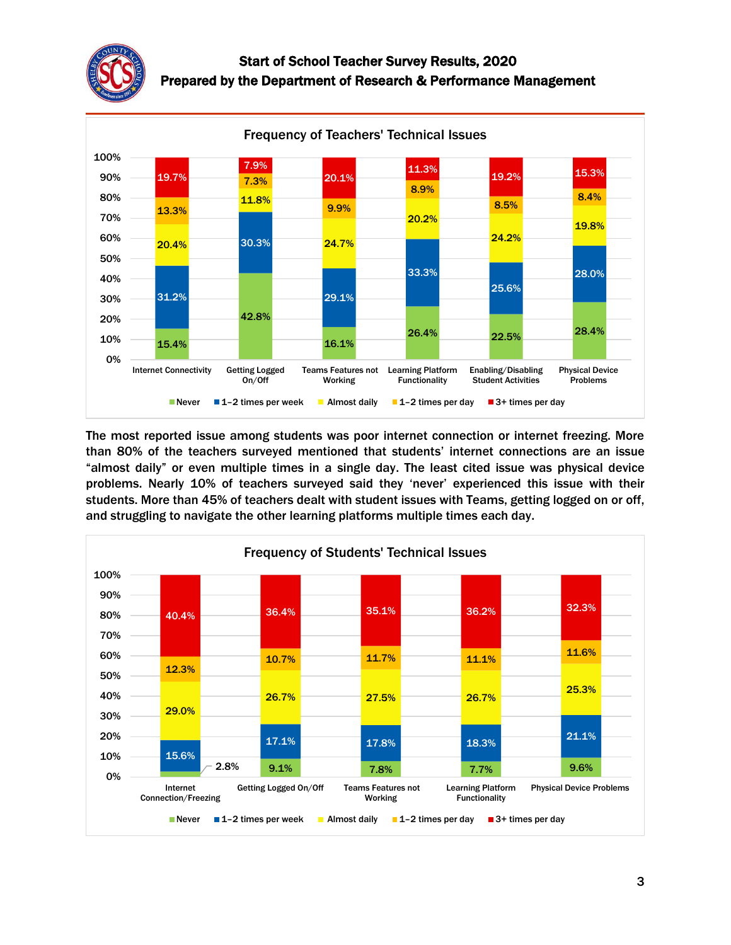



The most reported issue among students was poor internet connection or internet freezing. More than 80% of the teachers surveyed mentioned that students' internet connections are an issue "almost daily" or even multiple times in a single day. The least cited issue was physical device problems. Nearly 10% of teachers surveyed said they 'never' experienced this issue with their students. More than 45% of teachers dealt with student issues with Teams, getting logged on or off, and struggling to navigate the other learning platforms multiple times each day.

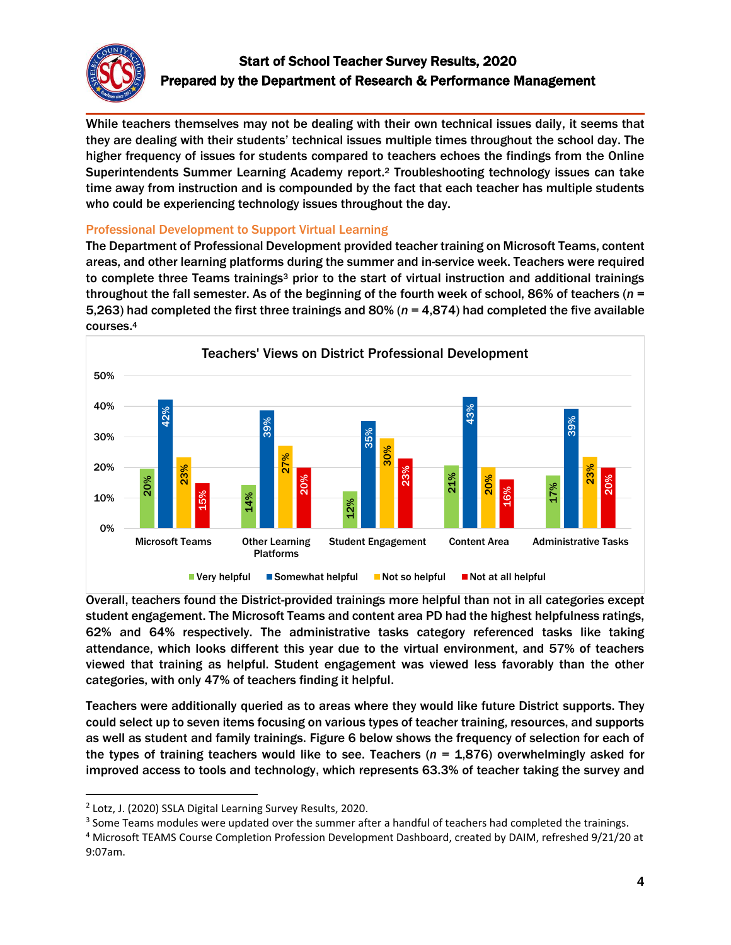

While teachers themselves may not be dealing with their own technical issues daily, it seems that they are dealing with their students' technical issues multiple times throughout the school day. The higher frequency of issues for students compared to teachers echoes the findings from the Online Superintendents Summer Learning Academy report. <sup>2</sup> Troubleshooting technology issues can take time away from instruction and is compounded by the fact that each teacher has multiple students who could be experiencing technology issues throughout the day.

## Professional Development to Support Virtual Learning

The Department of Professional Development provided teacher training on Microsoft Teams, content areas, and other learning platforms during the summer and in-service week. Teachers were required to complete three Teams trainings<sup>3</sup> prior to the start of virtual instruction and additional trainings throughout the fall semester. As of the beginning of the fourth week of school, 86% of teachers (*n* = 5,263) had completed the first three trainings and 80% (*n* = 4,874) had completed the five available courses. 4



Overall, teachers found the District-provided trainings more helpful than not in all categories except student engagement. The Microsoft Teams and content area PD had the highest helpfulness ratings, 62% and 64% respectively. The administrative tasks category referenced tasks like taking attendance, which looks different this year due to the virtual environment, and 57% of teachers viewed that training as helpful. Student engagement was viewed less favorably than the other categories, with only 47% of teachers finding it helpful.

Teachers were additionally queried as to areas where they would like future District supports. They could select up to seven items focusing on various types of teacher training, resources, and supports as well as student and family trainings. Figure 6 below shows the frequency of selection for each of the types of training teachers would like to see. Teachers (*n* = 1,876) overwhelmingly asked for improved access to tools and technology, which represents 63.3% of teacher taking the survey and

 $\overline{a}$ 

<sup>2</sup> Lotz, J. (2020) SSLA Digital Learning Survey Results, 2020.

<sup>&</sup>lt;sup>3</sup> Some Teams modules were updated over the summer after a handful of teachers had completed the trainings.

<sup>4</sup> Microsoft TEAMS Course Completion Profession Development Dashboard, created by DAIM, refreshed 9/21/20 at 9:07am.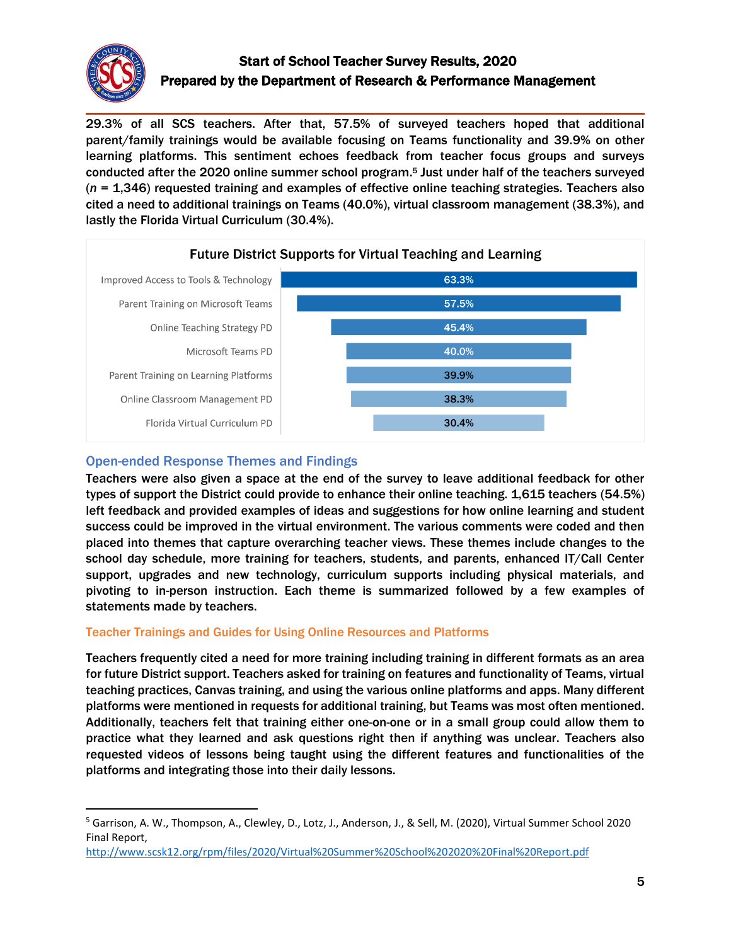

 $\overline{\phantom{a}}$ 

# Start of School Teacher Survey Results, 2020 Prepared by the Department of Research & Performance Management

29.3% of all SCS teachers. After that, 57.5% of surveyed teachers hoped that additional parent/family trainings would be available focusing on Teams functionality and 39.9% on other learning platforms. This sentiment echoes feedback from teacher focus groups and surveys conducted after the 2020 online summer school program. <sup>5</sup> Just under half of the teachers surveyed (*n* = 1,346) requested training and examples of effective online teaching strategies. Teachers also cited a need to additional trainings on Teams (40.0%), virtual classroom management (38.3%), and lastly the Florida Virtual Curriculum (30.4%).



## Open-ended Response Themes and Findings

Teachers were also given a space at the end of the survey to leave additional feedback for other types of support the District could provide to enhance their online teaching. 1,615 teachers (54.5%) left feedback and provided examples of ideas and suggestions for how online learning and student success could be improved in the virtual environment. The various comments were coded and then placed into themes that capture overarching teacher views. These themes include changes to the school day schedule, more training for teachers, students, and parents, enhanced IT/Call Center support, upgrades and new technology, curriculum supports including physical materials, and pivoting to in-person instruction. Each theme is summarized followed by a few examples of statements made by teachers.

## Teacher Trainings and Guides for Using Online Resources and Platforms

Teachers frequently cited a need for more training including training in different formats as an area for future District support. Teachers asked for training on features and functionality of Teams, virtual teaching practices, Canvas training, and using the various online platforms and apps. Many different platforms were mentioned in requests for additional training, but Teams was most often mentioned. Additionally, teachers felt that training either one-on-one or in a small group could allow them to practice what they learned and ask questions right then if anything was unclear. Teachers also requested videos of lessons being taught using the different features and functionalities of the platforms and integrating those into their daily lessons.

<sup>5</sup> Garrison, A. W., Thompson, A., Clewley, D., Lotz, J., Anderson, J., & Sell, M. (2020), Virtual Summer School 2020 Final Report,

<http://www.scsk12.org/rpm/files/2020/Virtual%20Summer%20School%202020%20Final%20Report.pdf>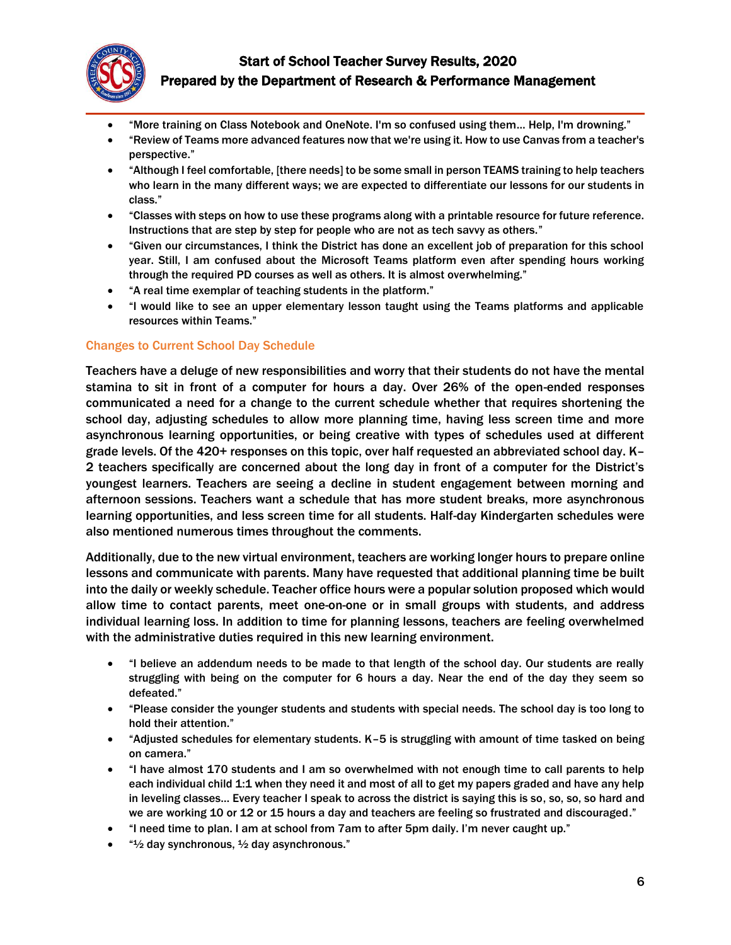

- "More training on Class Notebook and OneNote. I'm so confused using them… Help, I'm drowning."
- "Review of Teams more advanced features now that we're using it. How to use Canvas from a teacher's perspective."
- "Although I feel comfortable, [there needs] to be some small in person TEAMS training to help teachers who learn in the many different ways; we are expected to differentiate our lessons for our students in class."
- "Classes with steps on how to use these programs along with a printable resource for future reference. Instructions that are step by step for people who are not as tech savvy as others."
- "Given our circumstances, I think the District has done an excellent job of preparation for this school year. Still, I am confused about the Microsoft Teams platform even after spending hours working through the required PD courses as well as others. It is almost overwhelming."
- "A real time exemplar of teaching students in the platform."
- "I would like to see an upper elementary lesson taught using the Teams platforms and applicable resources within Teams."

#### Changes to Current School Day Schedule

Teachers have a deluge of new responsibilities and worry that their students do not have the mental stamina to sit in front of a computer for hours a day. Over 26% of the open-ended responses communicated a need for a change to the current schedule whether that requires shortening the school day, adjusting schedules to allow more planning time, having less screen time and more asynchronous learning opportunities, or being creative with types of schedules used at different grade levels. Of the 420+ responses on this topic, over half requested an abbreviated school day. K– 2 teachers specifically are concerned about the long day in front of a computer for the District's youngest learners. Teachers are seeing a decline in student engagement between morning and afternoon sessions. Teachers want a schedule that has more student breaks, more asynchronous learning opportunities, and less screen time for all students. Half-day Kindergarten schedules were also mentioned numerous times throughout the comments.

Additionally, due to the new virtual environment, teachers are working longer hours to prepare online lessons and communicate with parents. Many have requested that additional planning time be built into the daily or weekly schedule. Teacher office hours were a popular solution proposed which would allow time to contact parents, meet one-on-one or in small groups with students, and address individual learning loss. In addition to time for planning lessons, teachers are feeling overwhelmed with the administrative duties required in this new learning environment.

- "I believe an addendum needs to be made to that length of the school day. Our students are really struggling with being on the computer for 6 hours a day. Near the end of the day they seem so defeated."
- "Please consider the younger students and students with special needs. The school day is too long to hold their attention."
- "Adjusted schedules for elementary students. K–5 is struggling with amount of time tasked on being on camera."
- "I have almost 170 students and I am so overwhelmed with not enough time to call parents to help each individual child 1:1 when they need it and most of all to get my papers graded and have any help in leveling classes… Every teacher I speak to across the district is saying this is so, so, so, so hard and we are working 10 or 12 or 15 hours a day and teachers are feeling so frustrated and discouraged."
- "I need time to plan. I am at school from 7am to after 5pm daily. I'm never caught up."
- $\bullet$  " $\frac{1}{2}$  day synchronous,  $\frac{1}{2}$  day asynchronous."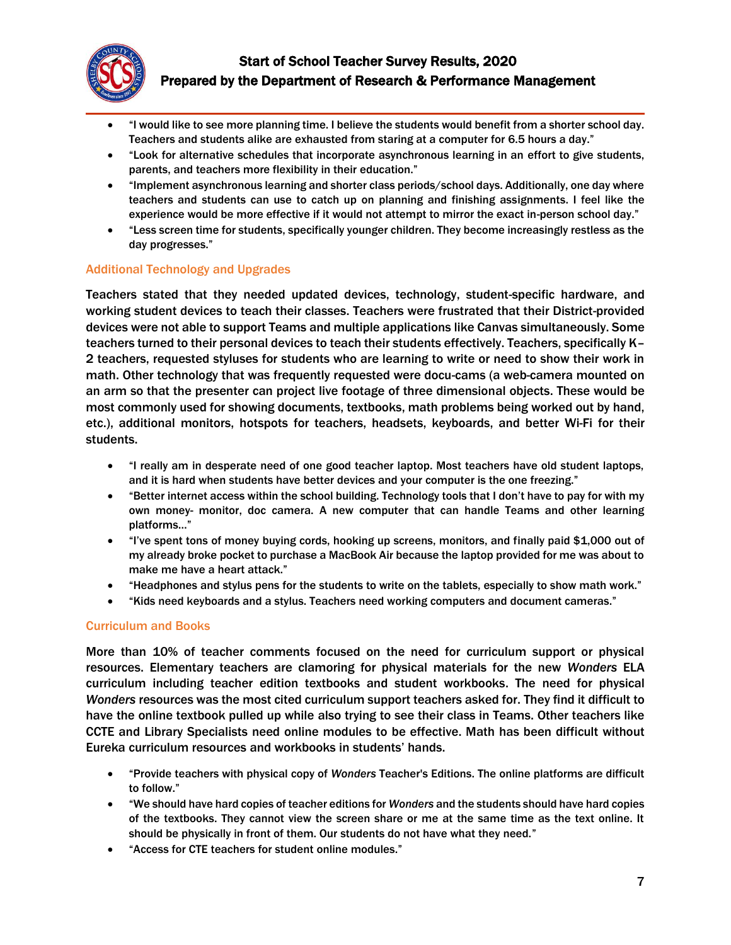

- "I would like to see more planning time. I believe the students would benefit from a shorter school day. Teachers and students alike are exhausted from staring at a computer for 6.5 hours a day."
- "Look for alternative schedules that incorporate asynchronous learning in an effort to give students, parents, and teachers more flexibility in their education."
- "Implement asynchronous learning and shorter class periods/school days. Additionally, one day where teachers and students can use to catch up on planning and finishing assignments. I feel like the experience would be more effective if it would not attempt to mirror the exact in-person school day."
- "Less screen time for students, specifically younger children. They become increasingly restless as the day progresses."

## Additional Technology and Upgrades

Teachers stated that they needed updated devices, technology, student-specific hardware, and working student devices to teach their classes. Teachers were frustrated that their District-provided devices were not able to support Teams and multiple applications like Canvas simultaneously. Some teachers turned to their personal devices to teach their students effectively. Teachers, specifically K– 2 teachers, requested styluses for students who are learning to write or need to show their work in math. Other technology that was frequently requested were docu-cams (a web-camera mounted on an arm so that the presenter can project live footage of three dimensional objects. These would be most commonly used for showing documents, textbooks, math problems being worked out by hand, etc.), additional monitors, hotspots for teachers, headsets, keyboards, and better Wi-Fi for their students.

- "I really am in desperate need of one good teacher laptop. Most teachers have old student laptops, and it is hard when students have better devices and your computer is the one freezing."
- "Better internet access within the school building. Technology tools that I don't have to pay for with my own money- monitor, doc camera. A new computer that can handle Teams and other learning platforms…"
- "I've spent tons of money buying cords, hooking up screens, monitors, and finally paid \$1,000 out of my already broke pocket to purchase a MacBook Air because the laptop provided for me was about to make me have a heart attack."
- "Headphones and stylus pens for the students to write on the tablets, especially to show math work."
- "Kids need keyboards and a stylus. Teachers need working computers and document cameras."

## Curriculum and Books

More than 10% of teacher comments focused on the need for curriculum support or physical resources. Elementary teachers are clamoring for physical materials for the new *Wonders* ELA curriculum including teacher edition textbooks and student workbooks. The need for physical *Wonders* resources was the most cited curriculum support teachers asked for. They find it difficult to have the online textbook pulled up while also trying to see their class in Teams. Other teachers like CCTE and Library Specialists need online modules to be effective. Math has been difficult without Eureka curriculum resources and workbooks in students' hands.

- "Provide teachers with physical copy of *Wonders* Teacher's Editions. The online platforms are difficult to follow."
- "We should have hard copies of teacher editions for *Wonders* and the students should have hard copies of the textbooks. They cannot view the screen share or me at the same time as the text online. It should be physically in front of them. Our students do not have what they need."
- "Access for CTE teachers for student online modules."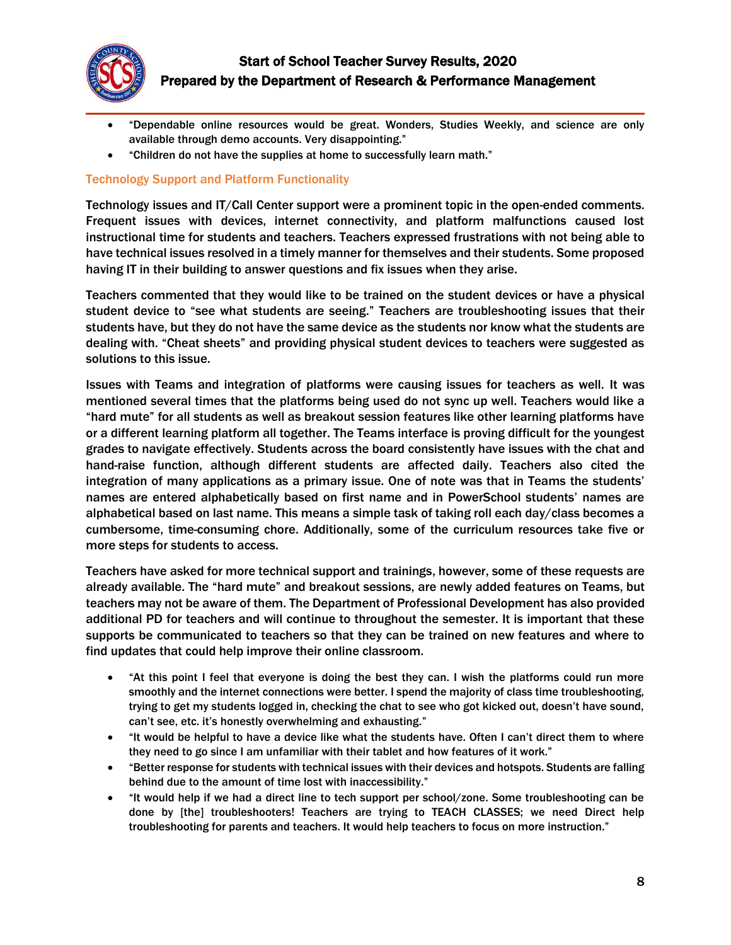

- "Dependable online resources would be great. Wonders, Studies Weekly, and science are only available through demo accounts. Very disappointing."
- "Children do not have the supplies at home to successfully learn math."

### Technology Support and Platform Functionality

Technology issues and IT/Call Center support were a prominent topic in the open-ended comments. Frequent issues with devices, internet connectivity, and platform malfunctions caused lost instructional time for students and teachers. Teachers expressed frustrations with not being able to have technical issues resolved in a timely manner for themselves and their students. Some proposed having IT in their building to answer questions and fix issues when they arise.

Teachers commented that they would like to be trained on the student devices or have a physical student device to "see what students are seeing." Teachers are troubleshooting issues that their students have, but they do not have the same device as the students nor know what the students are dealing with. "Cheat sheets" and providing physical student devices to teachers were suggested as solutions to this issue.

Issues with Teams and integration of platforms were causing issues for teachers as well. It was mentioned several times that the platforms being used do not sync up well. Teachers would like a "hard mute" for all students as well as breakout session features like other learning platforms have or a different learning platform all together. The Teams interface is proving difficult for the youngest grades to navigate effectively. Students across the board consistently have issues with the chat and hand-raise function, although different students are affected daily. Teachers also cited the integration of many applications as a primary issue. One of note was that in Teams the students' names are entered alphabetically based on first name and in PowerSchool students' names are alphabetical based on last name. This means a simple task of taking roll each day/class becomes a cumbersome, time-consuming chore. Additionally, some of the curriculum resources take five or more steps for students to access.

Teachers have asked for more technical support and trainings, however, some of these requests are already available. The "hard mute" and breakout sessions, are newly added features on Teams, but teachers may not be aware of them. The Department of Professional Development has also provided additional PD for teachers and will continue to throughout the semester. It is important that these supports be communicated to teachers so that they can be trained on new features and where to find updates that could help improve their online classroom.

- "At this point I feel that everyone is doing the best they can. I wish the platforms could run more smoothly and the internet connections were better. I spend the majority of class time troubleshooting, trying to get my students logged in, checking the chat to see who got kicked out, doesn't have sound, can't see, etc. it's honestly overwhelming and exhausting."
- "It would be helpful to have a device like what the students have. Often I can't direct them to where they need to go since I am unfamiliar with their tablet and how features of it work."
- "Better response for students with technical issues with their devices and hotspots. Students are falling behind due to the amount of time lost with inaccessibility."
- "It would help if we had a direct line to tech support per school/zone. Some troubleshooting can be done by [the] troubleshooters! Teachers are trying to TEACH CLASSES; we need Direct help troubleshooting for parents and teachers. It would help teachers to focus on more instruction."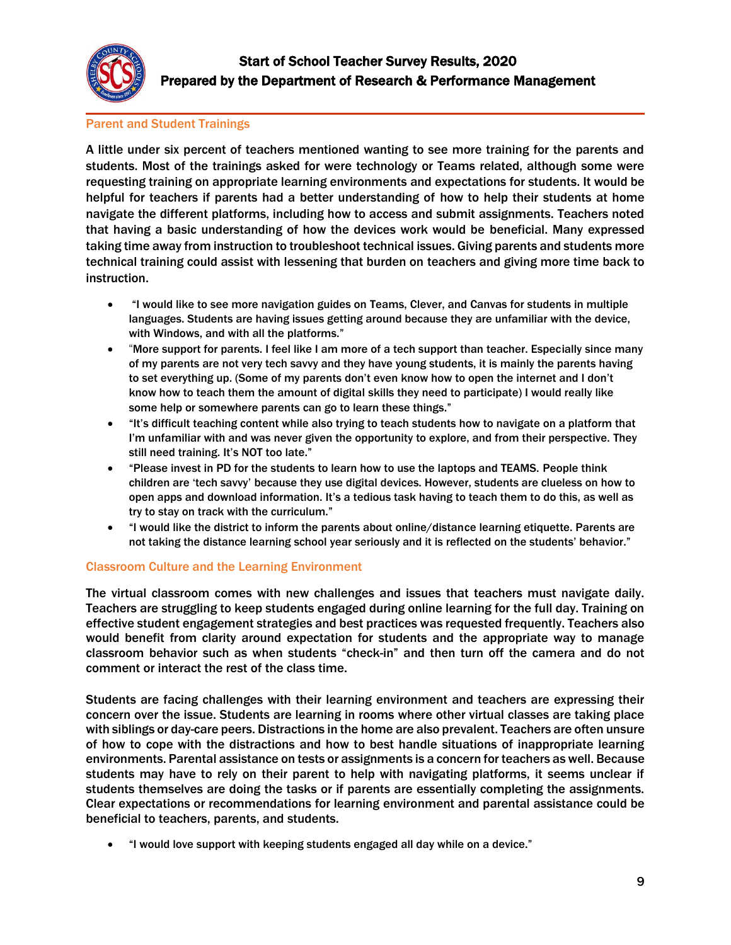

## Parent and Student Trainings

A little under six percent of teachers mentioned wanting to see more training for the parents and students. Most of the trainings asked for were technology or Teams related, although some were requesting training on appropriate learning environments and expectations for students. It would be helpful for teachers if parents had a better understanding of how to help their students at home navigate the different platforms, including how to access and submit assignments. Teachers noted that having a basic understanding of how the devices work would be beneficial. Many expressed taking time away from instruction to troubleshoot technical issues. Giving parents and students more technical training could assist with lessening that burden on teachers and giving more time back to instruction.

- "I would like to see more navigation guides on Teams, Clever, and Canvas for students in multiple languages. Students are having issues getting around because they are unfamiliar with the device, with Windows, and with all the platforms."
- "More support for parents. I feel like I am more of a tech support than teacher. Especially since many of my parents are not very tech savvy and they have young students, it is mainly the parents having to set everything up. (Some of my parents don't even know how to open the internet and I don't know how to teach them the amount of digital skills they need to participate) I would really like some help or somewhere parents can go to learn these things."
- "It's difficult teaching content while also trying to teach students how to navigate on a platform that I'm unfamiliar with and was never given the opportunity to explore, and from their perspective. They still need training. It's NOT too late."
- "Please invest in PD for the students to learn how to use the laptops and TEAMS. People think children are 'tech savvy' because they use digital devices. However, students are clueless on how to open apps and download information. It's a tedious task having to teach them to do this, as well as try to stay on track with the curriculum."
- "I would like the district to inform the parents about online/distance learning etiquette. Parents are not taking the distance learning school year seriously and it is reflected on the students' behavior."

#### Classroom Culture and the Learning Environment

The virtual classroom comes with new challenges and issues that teachers must navigate daily. Teachers are struggling to keep students engaged during online learning for the full day. Training on effective student engagement strategies and best practices was requested frequently. Teachers also would benefit from clarity around expectation for students and the appropriate way to manage classroom behavior such as when students "check-in" and then turn off the camera and do not comment or interact the rest of the class time.

Students are facing challenges with their learning environment and teachers are expressing their concern over the issue. Students are learning in rooms where other virtual classes are taking place with siblings or day-care peers. Distractions in the home are also prevalent. Teachers are often unsure of how to cope with the distractions and how to best handle situations of inappropriate learning environments. Parental assistance on tests or assignments is a concern for teachers as well. Because students may have to rely on their parent to help with navigating platforms, it seems unclear if students themselves are doing the tasks or if parents are essentially completing the assignments. Clear expectations or recommendations for learning environment and parental assistance could be beneficial to teachers, parents, and students.

"I would love support with keeping students engaged all day while on a device."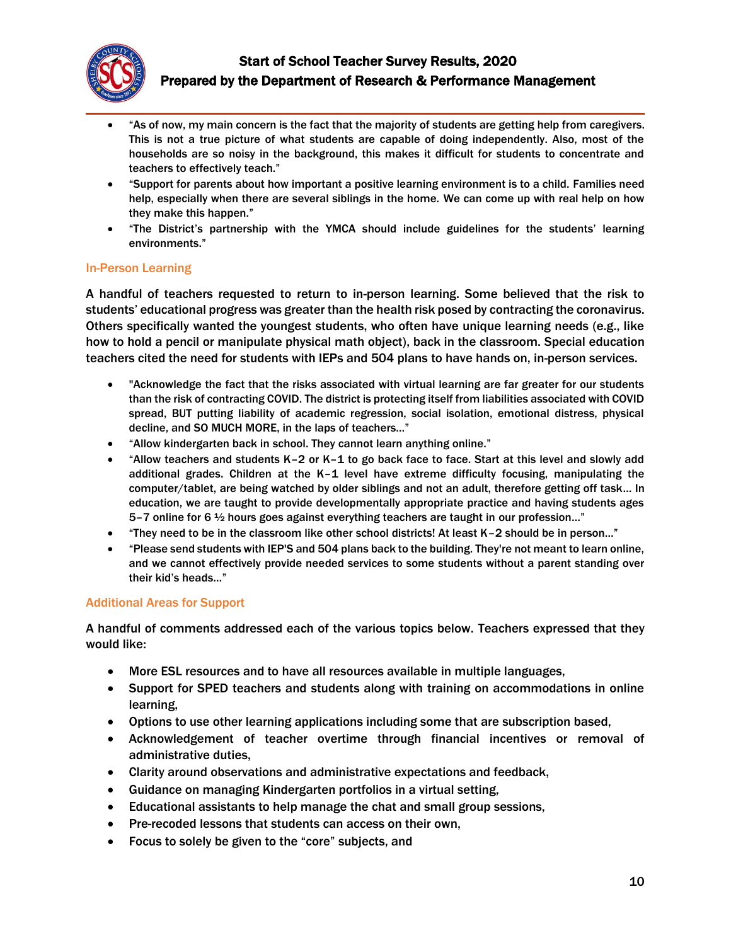

- "As of now, my main concern is the fact that the majority of students are getting help from caregivers. This is not a true picture of what students are capable of doing independently. Also, most of the households are so noisy in the background, this makes it difficult for students to concentrate and teachers to effectively teach."
- "Support for parents about how important a positive learning environment is to a child. Families need help, especially when there are several siblings in the home. We can come up with real help on how they make this happen."
- "The District's partnership with the YMCA should include guidelines for the students' learning environments."

### In-Person Learning

A handful of teachers requested to return to in-person learning. Some believed that the risk to students' educational progress was greater than the health risk posed by contracting the coronavirus. Others specifically wanted the youngest students, who often have unique learning needs (e.g., like how to hold a pencil or manipulate physical math object), back in the classroom. Special education teachers cited the need for students with IEPs and 504 plans to have hands on, in-person services.

- "Acknowledge the fact that the risks associated with virtual learning are far greater for our students than the risk of contracting COVID. The district is protecting itself from liabilities associated with COVID spread, BUT putting liability of academic regression, social isolation, emotional distress, physical decline, and SO MUCH MORE, in the laps of teachers…"
- "Allow kindergarten back in school. They cannot learn anything online."
- "Allow teachers and students K–2 or K–1 to go back face to face. Start at this level and slowly add additional grades. Children at the K–1 level have extreme difficulty focusing, manipulating the computer/tablet, are being watched by older siblings and not an adult, therefore getting off task… In education, we are taught to provide developmentally appropriate practice and having students ages 5–7 online for 6 ½ hours goes against everything teachers are taught in our profession…"
- "They need to be in the classroom like other school districts! At least K–2 should be in person…"
- "Please send students with IEP'S and 504 plans back to the building. They're not meant to learn online, and we cannot effectively provide needed services to some students without a parent standing over their kid's heads…"

#### Additional Areas for Support

A handful of comments addressed each of the various topics below. Teachers expressed that they would like:

- More ESL resources and to have all resources available in multiple languages,
- Support for SPED teachers and students along with training on accommodations in online learning,
- Options to use other learning applications including some that are subscription based,
- Acknowledgement of teacher overtime through financial incentives or removal of administrative duties,
- Clarity around observations and administrative expectations and feedback,
- Guidance on managing Kindergarten portfolios in a virtual setting,
- Educational assistants to help manage the chat and small group sessions,
- Pre-recoded lessons that students can access on their own,
- Focus to solely be given to the "core" subjects, and